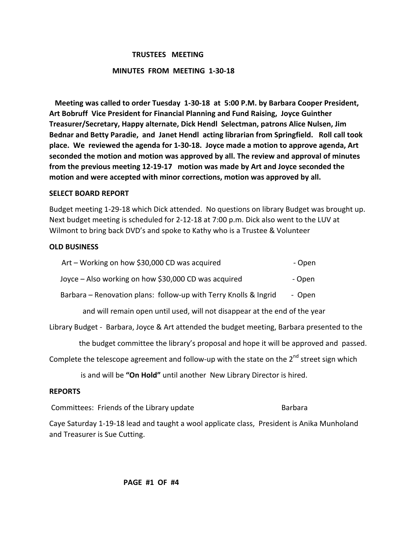### **TRUSTEES MEETING**

### **MINUTES FROM MEETING 1-30-18**

**Meeting was called to order Tuesday 1-30-18 at 5:00 P.M. by Barbara Cooper President,** Art Bobruff Vice President for Financial Planning and Fund Raising, Joyce Guinther Treasurer/Secretary, Happy alternate, Dick Hendl Selectman, patrons Alice Nulsen, Jim Bednar and Betty Paradie, and Janet Hendl acting librarian from Springfield. Roll call took place. We reviewed the agenda for 1-30-18. Joyce made a motion to approve agenda, Art seconded the motion and motion was approved by all. The review and approval of minutes **from the previous meeting 12-19-17 motion was made by Art and Joyce seconded the** motion and were accepted with minor corrections, motion was approved by all.

#### **SELECT BOARD REPORT**

Budget meeting 1-29-18 which Dick attended. No questions on library Budget was brought up. Next budget meeting is scheduled for 2-12-18 at 7:00 p.m. Dick also went to the LUV at Wilmont to bring back DVD's and spoke to Kathy who is a Trustee & Volunteer

### **OLD BUSINESS**

| Art – Working on how \$30,000 CD was acquired                              | - Open |
|----------------------------------------------------------------------------|--------|
| Joyce – Also working on how \$30,000 CD was acquired                       | - Open |
| Barbara – Renovation plans: follow-up with Terry Knolls & Ingrid           | - Open |
| and will remain open until used, will not disappear at the end of the year |        |

Library Budget - Barbara, Joyce & Art attended the budget meeting, Barbara presented to the

the budget committee the library's proposal and hope it will be approved and passed.

Complete the telescope agreement and follow-up with the state on the  $2^{nd}$  street sign which

is and will be "On Hold" until another New Library Director is hired.

## **REPORTS**

Committees: Friends of the Library update **Solution Committees**: Friends of the Library update

Caye Saturday 1-19-18 lead and taught a wool applicate class, President is Anika Munholand and Treasurer is Sue Cutting.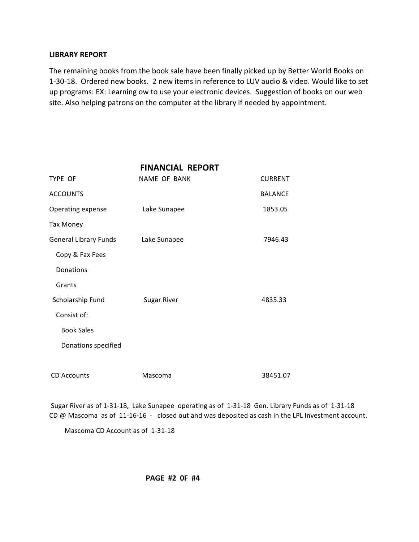### **LIBRARY REPORT**

The remaining books from the book sale have been finally picked up by Better World Books on 1-30-18. Ordered new books. 2 new items in reference to LUV audio & video. Would like to set up programs: EX: Learning ow to use your electronic devices. Suggestion of books on our web site. Also helping patrons on the computer at the library if needed by appointment.

|                              | <b>FINANCIAL REPORT</b> |                |
|------------------------------|-------------------------|----------------|
| TYPE OF                      | NAME OF BANK            | <b>CURRENT</b> |
| <b>ACCOUNTS</b>              |                         | <b>BALANCE</b> |
| Operating expense            | Lake Sunapee            | 1853.05        |
| <b>Tax Money</b>             |                         |                |
| <b>General Library Funds</b> | Lake Sunapee            | 7946.43        |
| Copy & Fax Fees              |                         |                |
| Donations                    |                         |                |
| Grants                       |                         |                |
| Scholarship Fund             | <b>Sugar River</b>      | 4835.33        |
| Consist of:                  |                         |                |
| <b>Book Sales</b>            |                         |                |
| Donations specified          |                         |                |
|                              |                         |                |
| <b>CD Accounts</b>           | Mascoma                 | 38451.07       |

Sugar River as of 1-31-18, Lake Sunapee operating as of 1-31-18 Gen. Library Funds as of 1-31-18 CD  $@$  Mascoma as of 11-16-16 - closed out and was deposited as cash in the LPL Investment account.

Mascoma CD Account as of 1-31-18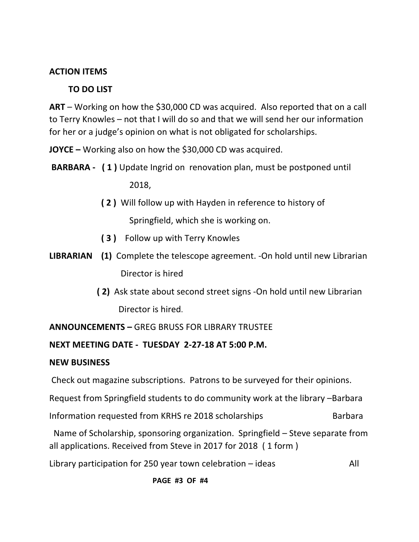# **ACTION ITEMS**

# **TO DO LIST**

**ART** – Working on how the \$30,000 CD was acquired. Also reported that on a call to Terry Knowles – not that I will do so and that we will send her our information for her or a judge's opinion on what is not obligated for scholarships.

**JOYCE** – Working also on how the \$30,000 CD was acquired.

**BARBARA** - (1) Update Ingrid on renovation plan, must be postponed until

 2018, 

- **(2)** Will follow up with Hayden in reference to history of Springfield, which she is working on.
- **(3)** Follow up with Terry Knowles
- **LIBRARIAN** (1) Complete the telescope agreement. -On hold until new Librarian Director is hired
	- **(2)** Ask state about second street signs -On hold until new Librarian Director is hired.

# **ANNOUNCEMENTS – GREG BRUSS FOR LIBRARY TRUSTEE**

# NEXT MEETING DATE - TUESDAY 2-27-18 AT 5:00 P.M.

# **NEW BUSINESS**

Check out magazine subscriptions. Patrons to be surveyed for their opinions.

Request from Springfield students to do community work at the library –Barbara

Information requested from KRHS re 2018 scholarships Barbara

Name of Scholarship, sponsoring organization. Springfield  $-$  Steve separate from all applications. Received from Steve in 2017 for 2018 (1 form)

Library participation for 250 year town celebration – ideas  $\qquad \qquad \qquad \qquad$  All